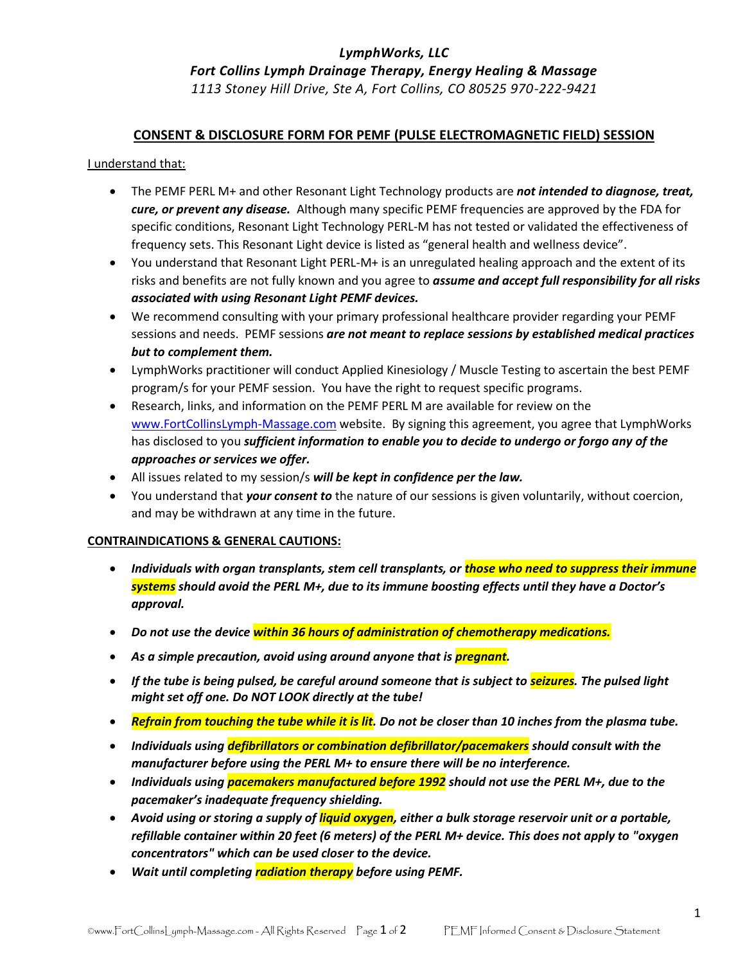# *LymphWorks, LLC*

*Fort Collins Lymph Drainage Therapy, Energy Healing & Massage*

*1113 Stoney Hill Drive, Ste A, Fort Collins, CO 80525 970-222-9421*

### **CONSENT & DISCLOSURE FORM FOR PEMF (PULSE ELECTROMAGNETIC FIELD) SESSION**

I understand that:

- The PEMF PERL M+ and other Resonant Light Technology products are *not intended to diagnose, treat, cure, or prevent any disease.* Although many specific PEMF frequencies are approved by the FDA for specific conditions, Resonant Light Technology PERL-M has not tested or validated the effectiveness of frequency sets. This Resonant Light device is listed as "general health and wellness device".
- You understand that Resonant Light PERL-M+ is an unregulated healing approach and the extent of its risks and benefits are not fully known and you agree to *assume and accept full responsibility for all risks associated with using Resonant Light PEMF devices.*
- We recommend consulting with your primary professional healthcare provider regarding your PEMF sessions and needs. PEMF sessions *are not meant to replace sessions by established medical practices but to complement them.*
- LymphWorks practitioner will conduct Applied Kinesiology / Muscle Testing to ascertain the best PEMF program/s for your PEMF session. You have the right to request specific programs.
- Research, links, and information on the PEMF PERL M are available for review on the [www.FortCollinsLymph-Massage.com](http://www.fortcollinslymph-massage.com/) website. By signing this agreement, you agree that LymphWorks has disclosed to you *sufficient information to enable you to decide to undergo or forgo any of the approaches or services we offer.*
- All issues related to my session/s *will be kept in confidence per the law.*
- You understand that *your consent to* the nature of our sessions is given voluntarily, without coercion, and may be withdrawn at any time in the future.

#### **CONTRAINDICATIONS & GENERAL CAUTIONS:**

- *Individuals with organ transplants, stem cell transplants, or those who need to suppress their immune systems should avoid the PERL M+, due to its immune boosting effects until they have a Doctor's approval.*
- *Do not use the device within 36 hours of administration of chemotherapy medications.*
- *As a simple precaution, avoid using around anyone that is pregnant.*
- *If the tube is being pulsed, be careful around someone that is subject to seizures. The pulsed light might set off one. Do NOT LOOK directly at the tube!*
- *Refrain from touching the tube while it is lit. Do not be closer than 10 inches from the plasma tube.*
- *Individuals using defibrillators or combination defibrillator/pacemakers should consult with the manufacturer before using the PERL M+ to ensure there will be no interference.*
- *Individuals using pacemakers manufactured before 1992 should not use the PERL M+, due to the pacemaker's inadequate frequency shielding.*
- *Avoid using or storing a supply of liquid oxygen, either a bulk storage reservoir unit or a portable, refillable container within 20 feet (6 meters) of the PERL M+ device. This does not apply to "oxygen concentrators" which can be used closer to the device.*
- *Wait until completing radiation therapy before using PEMF.*